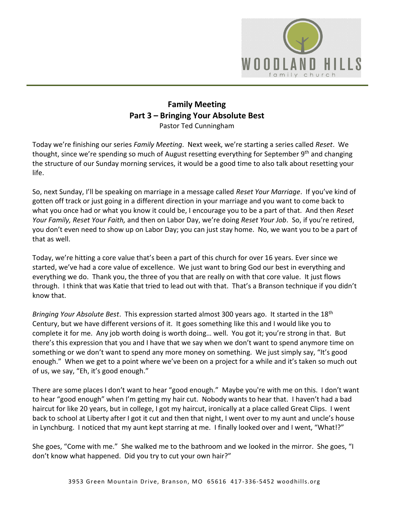

## **Family Meeting Part 3 – Bringing Your Absolute Best** Pastor Ted Cunningham

Today we're finishing our series *Family Meeting*. Next week, we're starting a series called *Reset*. We thought, since we're spending so much of August resetting everything for September 9<sup>th</sup> and changing the structure of our Sunday morning services, it would be a good time to also talk about resetting your life.

So, next Sunday, I'll be speaking on marriage in a message called *Reset Your Marriage*. If you've kind of gotten off track or just going in a different direction in your marriage and you want to come back to what you once had or what you know it could be, I encourage you to be a part of that. And then *Reset Your Family, Reset Your Faith,* and then on Labor Day, we're doing *Reset Your Job*. So, if you're retired, you don't even need to show up on Labor Day; you can just stay home. No, we want you to be a part of that as well.

Today, we're hitting a core value that's been a part of this church for over 16 years. Ever since we started, we've had a core value of excellence. We just want to bring God our best in everything and everything we do. Thank you, the three of you that are really on with that core value. It just flows through. I think that was Katie that tried to lead out with that. That's a Branson technique if you didn't know that.

*Bringing Your Absolute Best*. This expression started almost 300 years ago. It started in the 18th Century, but we have different versions of it. It goes something like this and I would like you to complete it for me. Any job worth doing is worth doing… well. You got it; you're strong in that. But there's this expression that you and I have that we say when we don't want to spend anymore time on something or we don't want to spend any more money on something. We just simply say, "It's good enough." When we get to a point where we've been on a project for a while and it's taken so much out of us, we say, "Eh, it's good enough."

There are some places I don't want to hear "good enough." Maybe you're with me on this. I don't want to hear "good enough" when I'm getting my hair cut. Nobody wants to hear that. I haven't had a bad haircut for like 20 years, but in college, I got my haircut, ironically at a place called Great Clips. I went back to school at Liberty after I got it cut and then that night, I went over to my aunt and uncle's house in Lynchburg. I noticed that my aunt kept starring at me. I finally looked over and I went, "What!?"

She goes, "Come with me." She walked me to the bathroom and we looked in the mirror. She goes, "I don't know what happened. Did you try to cut your own hair?"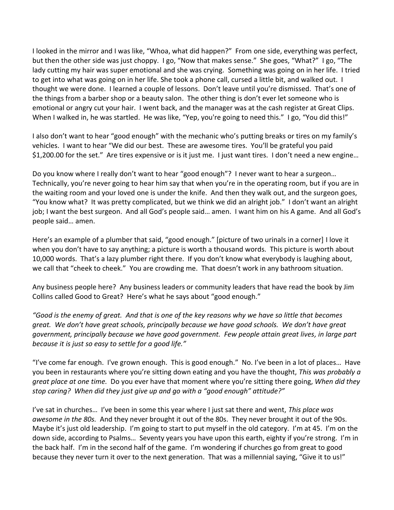I looked in the mirror and I was like, "Whoa, what did happen?" From one side, everything was perfect, but then the other side was just choppy. I go, "Now that makes sense." She goes, "What?" I go, "The lady cutting my hair was super emotional and she was crying. Something was going on in her life. I tried to get into what was going on in her life. She took a phone call, cursed a little bit, and walked out. I thought we were done. I learned a couple of lessons. Don't leave until you're dismissed. That's one of the things from a barber shop or a beauty salon. The other thing is don't ever let someone who is emotional or angry cut your hair. I went back, and the manager was at the cash register at Great Clips. When I walked in, he was startled. He was like, "Yep, you're going to need this." I go, "You did this!"

I also don't want to hear "good enough" with the mechanic who's putting breaks or tires on my family's vehicles. I want to hear "We did our best. These are awesome tires. You'll be grateful you paid \$1,200.00 for the set." Are tires expensive or is it just me. I just want tires. I don't need a new engine…

Do you know where I really don't want to hear "good enough"? I never want to hear a surgeon… Technically, you're never going to hear him say that when you're in the operating room, but if you are in the waiting room and your loved one is under the knife. And then they walk out, and the surgeon goes, "You know what? It was pretty complicated, but we think we did an alright job." I don't want an alright job; I want the best surgeon. And all God's people said… amen. I want him on his A game. And all God's people said… amen.

Here's an example of a plumber that said, "good enough." [picture of two urinals in a corner] I love it when you don't have to say anything; a picture is worth a thousand words. This picture is worth about 10,000 words. That's a lazy plumber right there. If you don't know what everybody is laughing about, we call that "cheek to cheek." You are crowding me. That doesn't work in any bathroom situation.

Any business people here? Any business leaders or community leaders that have read the book by Jim Collins called Good to Great? Here's what he says about "good enough."

*"Good is the enemy of great. And that is one of the key reasons why we have so little that becomes great. We don't have great schools, principally because we have good schools. We don't have great government, principally because we have good government. Few people attain great lives, in large part because it is just so easy to settle for a good life."*

"I've come far enough. I've grown enough. This is good enough." No. I've been in a lot of places… Have you been in restaurants where you're sitting down eating and you have the thought, *This was probably a great place at one time.* Do you ever have that moment where you're sitting there going, *When did they stop caring? When did they just give up and go with a "good enough" attitude?"* 

I've sat in churches… I've been in some this year where I just sat there and went, *This place was awesome in the 80s.* And they never brought it out of the 80s. They never brought it out of the 90s. Maybe it's just old leadership. I'm going to start to put myself in the old category. I'm at 45. I'm on the down side, according to Psalms… Seventy years you have upon this earth, eighty if you're strong. I'm in the back half. I'm in the second half of the game. I'm wondering if churches go from great to good because they never turn it over to the next generation. That was a millennial saying, "Give it to us!"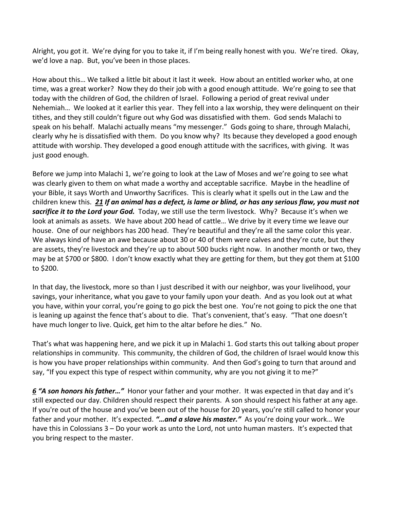Alright, you got it. We're dying for you to take it, if I'm being really honest with you. We're tired. Okay, we'd love a nap. But, you've been in those places.

How about this… We talked a little bit about it last it week. How about an entitled worker who, at one time, was a great worker? Now they do their job with a good enough attitude. We're going to see that today with the children of God, the children of Israel. Following a period of great revival under Nehemiah… We looked at it earlier this year. They fell into a lax worship, they were delinquent on their tithes, and they still couldn't figure out why God was dissatisfied with them. God sends Malachi to speak on his behalf. Malachi actually means "my messenger." Gods going to share, through Malachi, clearly why he is dissatisfied with them. Do you know why? Its because they developed a good enough attitude with worship. They developed a good enough attitude with the sacrifices, with giving. It was just good enough.

Before we jump into Malachi 1, we're going to look at the Law of Moses and we're going to see what was clearly given to them on what made a worthy and acceptable sacrifice. Maybe in the headline of your Bible, it says Worth and Unworthy Sacrifices. This is clearly what it spells out in the Law and the children knew this. *[21](https://www.studylight.org/desk/?q=de%2015:21&t1=en_niv&sr=1) If an animal has a defect, is lame or blind, or has any serious flaw, you must not sacrifice it to the Lord your God.* Today, we still use the term livestock. Why? Because it's when we look at animals as assets. We have about 200 head of cattle… We drive by it every time we leave our house. One of our neighbors has 200 head. They're beautiful and they're all the same color this year. We always kind of have an awe because about 30 or 40 of them were calves and they're cute, but they are assets, they're livestock and they're up to about 500 bucks right now. In another month or two, they may be at \$700 or \$800. I don't know exactly what they are getting for them, but they got them at \$100 to \$200.

In that day, the livestock, more so than I just described it with our neighbor, was your livelihood, your savings, your inheritance, what you gave to your family upon your death. And as you look out at what you have, within your corral, you're going to go pick the best one. You're not going to pick the one that is leaning up against the fence that's about to die. That's convenient, that's easy. "That one doesn't have much longer to live. Quick, get him to the altar before he dies." No.

That's what was happening here, and we pick it up in Malachi 1. God starts this out talking about proper relationships in community. This community, the children of God, the children of Israel would know this is how you have proper relationships within community. And then God's going to turn that around and say, "If you expect this type of respect within community, why are you not giving it to me?"

*[6](https://www.studylight.org/desk/?q=mal%201:6&t1=en_niv&sr=1) "A son honors his father…"* Honor your father and your mother. It was expected in that day and it's still expected our day. Children should respect their parents. A son should respect his father at any age. If you're out of the house and you've been out of the house for 20 years, you're still called to honor your father and your mother. It's expected. *"…and a slave his master."* As you're doing your work… We have this in Colossians 3 – Do your work as unto the Lord, not unto human masters. It's expected that you bring respect to the master.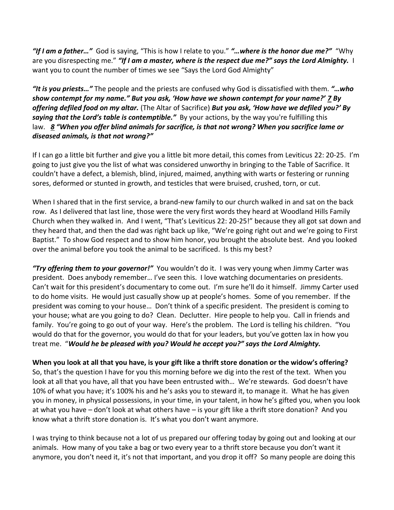*"If I am a father…"* God is saying, "This is how I relate to you." *"…where is the honor due me?"* "Why are you disrespecting me." *"If I am a master, where is the respect due me?" says the Lord Almighty.* I want you to count the number of times we see "Says the Lord God Almighty"

*"It is you priests…"* The people and the priests are confused why God is dissatisfied with them. *"…who show contempt for my name." But you ask, 'How have we shown contempt for your name?' [7](https://www.studylight.org/desk/?q=mal%201:7&t1=en_niv&sr=1) By offering defiled food on my altar.* (The Altar of Sacrifice) *But you ask, 'How have we defiled you?' By saying that the Lord's table is contemptible."* By your actions, by the way you're fulfilling this law. *[8](https://www.studylight.org/desk/?q=mal%201:8&t1=en_niv&sr=1) "When you offer blind animals for sacrifice, is that not wrong? When you sacrifice lame or diseased animals, is that not wrong?"*

If I can go a little bit further and give you a little bit more detail, this comes from Leviticus 22: 20-25. I'm going to just give you the list of what was considered unworthy in bringing to the Table of Sacrifice. It couldn't have a defect, a blemish, blind, injured, maimed, anything with warts or festering or running sores, deformed or stunted in growth, and testicles that were bruised, crushed, torn, or cut.

When I shared that in the first service, a brand-new family to our church walked in and sat on the back row. As I delivered that last line, those were the very first words they heard at Woodland Hills Family Church when they walked in. And I went, "That's Leviticus 22: 20-25!" because they all got sat down and they heard that, and then the dad was right back up like, "We're going right out and we're going to First Baptist." To show God respect and to show him honor, you brought the absolute best. And you looked over the animal before you took the animal to be sacrificed. Is this my best?

*"Try offering them to your governor!"* You wouldn't do it. I was very young when Jimmy Carter was president. Does anybody remember… I've seen this. I love watching documentaries on presidents. Can't wait for this president's documentary to come out. I'm sure he'll do it himself. Jimmy Carter used to do home visits. He would just casually show up at people's homes. Some of you remember. If the president was coming to your house… Don't think of a specific president. The president is coming to your house; what are you going to do? Clean. Declutter. Hire people to help you. Call in friends and family. You're going to go out of your way. Here's the problem. The Lord is telling his children. "You would do that for the governor, you would do that for your leaders, but you've gotten lax in how you treat me. "*Would he be pleased with you? Would he accept you?" says the Lord Almighty.* 

**When you look at all that you have, is your gift like a thrift store donation or the widow's offering?** So, that's the question I have for you this morning before we dig into the rest of the text. When you look at all that you have, all that you have been entrusted with… We're stewards. God doesn't have 10% of what you have; it's 100% his and he's asks you to steward it, to manage it. What he has given you in money, in physical possessions, in your time, in your talent, in how he's gifted you, when you look at what you have – don't look at what others have – is your gift like a thrift store donation? And you know what a thrift store donation is. It's what you don't want anymore.

I was trying to think because not a lot of us prepared our offering today by going out and looking at our animals. How many of you take a bag or two every year to a thrift store because you don't want it anymore, you don't need it, it's not that important, and you drop it off? So many people are doing this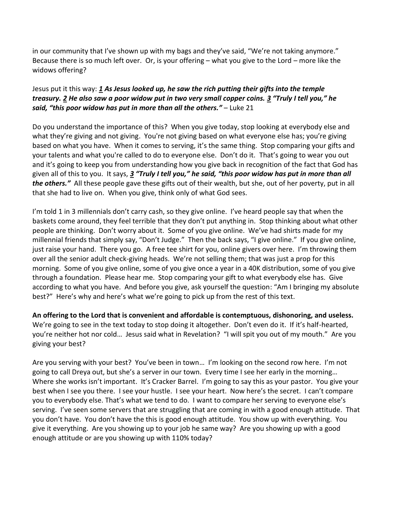in our community that I've shown up with my bags and they've said, "We're not taking anymore." Because there is so much left over. Or, is your offering – what you give to the Lord – more like the widows offering?

## Jesus put it this way: *[1](https://www.studylight.org/desk/?q=lu%2021:1&t1=en_niv&sr=1) As Jesus looked up, he saw the rich putting their gifts into the temple treasury. [2](https://www.studylight.org/desk/?q=lu%2021:2&t1=en_niv&sr=1) He also saw a poor widow put in two very small copper coins. [3](https://www.studylight.org/desk/?q=lu%2021:3&t1=en_niv&sr=1) "Truly I tell you," he said, "this poor widow has put in more than all the others."* – Luke 21

Do you understand the importance of this? When you give today, stop looking at everybody else and what they're giving and not giving. You're not giving based on what everyone else has; you're giving based on what you have. When it comes to serving, it's the same thing. Stop comparing your gifts and your talents and what you're called to do to everyone else. Don't do it. That's going to wear you out and it's going to keep you from understanding how you give back in recognition of the fact that God has given all of this to you. It says, *[3](https://www.studylight.org/desk/?q=lu%2021:3&t1=en_niv&sr=1) "Truly I tell you," he said, "this poor widow has put in more than all the others."* All these people gave these gifts out of their wealth, but she, out of her poverty, put in all that she had to live on. When you give, think only of what God sees.

I'm told 1 in 3 millennials don't carry cash, so they give online. I've heard people say that when the baskets come around, they feel terrible that they don't put anything in. Stop thinking about what other people are thinking. Don't worry about it. Some of you give online. We've had shirts made for my millennial friends that simply say, "Don't Judge." Then the back says, "I give online." If you give online, just raise your hand. There you go. A free tee shirt for you, online givers over here. I'm throwing them over all the senior adult check-giving heads. We're not selling them; that was just a prop for this morning. Some of you give online, some of you give once a year in a 40K distribution, some of you give through a foundation. Please hear me. Stop comparing your gift to what everybody else has. Give according to what you have. And before you give, ask yourself the question: "Am I bringing my absolute best?" Here's why and here's what we're going to pick up from the rest of this text.

**An offering to the Lord that is convenient and affordable is contemptuous, dishonoring, and useless.**  We're going to see in the text today to stop doing it altogether. Don't even do it. If it's half-hearted, you're neither hot nor cold… Jesus said what in Revelation? "I will spit you out of my mouth." Are you giving your best?

Are you serving with your best? You've been in town… I'm looking on the second row here. I'm not going to call Dreya out, but she's a server in our town. Every time I see her early in the morning… Where she works isn't important. It's Cracker Barrel. I'm going to say this as your pastor. You give your best when I see you there. I see your hustle. I see your heart. Now here's the secret. I can't compare you to everybody else. That's what we tend to do. I want to compare her serving to everyone else's serving. I've seen some servers that are struggling that are coming in with a good enough attitude. That you don't have. You don't have the this is good enough attitude. You show up with everything. You give it everything. Are you showing up to your job he same way? Are you showing up with a good enough attitude or are you showing up with 110% today?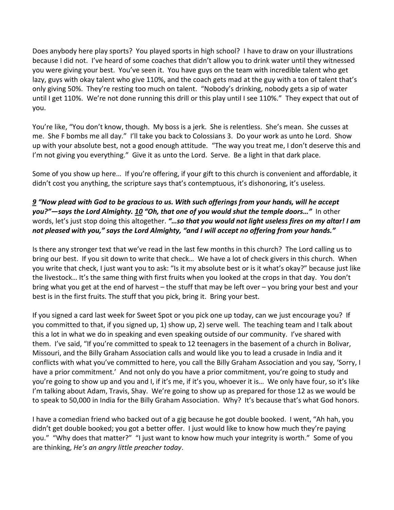Does anybody here play sports? You played sports in high school? I have to draw on your illustrations because I did not. I've heard of some coaches that didn't allow you to drink water until they witnessed you were giving your best. You've seen it. You have guys on the team with incredible talent who get lazy, guys with okay talent who give 110%, and the coach gets mad at the guy with a ton of talent that's only giving 50%. They're resting too much on talent. "Nobody's drinking, nobody gets a sip of water until I get 110%. We're not done running this drill or this play until I see 110%." They expect that out of you.

You're like, "You don't know, though. My boss is a jerk. She is relentless. She's mean. She cusses at me. She F bombs me all day." I'll take you back to Colossians 3. Do your work as unto he Lord. Show up with your absolute best, not a good enough attitude. "The way you treat me, I don't deserve this and I'm not giving you everything." Give it as unto the Lord. Serve. Be a light in that dark place.

Some of you show up here… If you're offering, if your gift to this church is convenient and affordable, it didn't cost you anything, the scripture says that's contemptuous, it's dishonoring, it's useless.

## *[9](https://www.studylight.org/desk/?q=mal%201:9&t1=en_niv&sr=1) "Now plead with God to be gracious to us. With such offerings from your hands, will he accept you?"—says the Lord Almighty. [10](https://www.studylight.org/desk/?q=mal%201:10&t1=en_niv&sr=1) "Oh, that one of you would shut the temple doors…"* In other words, let's just stop doing this altogether. *"…so that you would not light useless fires on my altar! I am not pleased with you," says the Lord Almighty, "and I will accept no offering from your hands."*

Is there any stronger text that we've read in the last few months in this church? The Lord calling us to bring our best. If you sit down to write that check… We have a lot of check givers in this church. When you write that check, I just want you to ask: "Is it my absolute best or is it what's okay?" because just like the livestock… It's the same thing with first fruits when you looked at the crops in that day. You don't bring what you get at the end of harvest – the stuff that may be left over – you bring your best and your best is in the first fruits. The stuff that you pick, bring it. Bring your best.

If you signed a card last week for Sweet Spot or you pick one up today, can we just encourage you? If you committed to that, if you signed up, 1) show up, 2) serve well. The teaching team and I talk about this a lot in what we do in speaking and even speaking outside of our community. I've shared with them. I've said, "If you're committed to speak to 12 teenagers in the basement of a church in Bolivar, Missouri, and the Billy Graham Association calls and would like you to lead a crusade in India and it conflicts with what you've committed to here, you call the Billy Graham Association and you say, 'Sorry, I have a prior commitment.' And not only do you have a prior commitment, you're going to study and you're going to show up and you and I, if it's me, if it's you, whoever it is… We only have four, so it's like I'm talking about Adam, Travis, Shay. We're going to show up as prepared for those 12 as we would be to speak to 50,000 in India for the Billy Graham Association. Why? It's because that's what God honors.

I have a comedian friend who backed out of a gig because he got double booked. I went, "Ah hah, you didn't get double booked; you got a better offer. I just would like to know how much they're paying you." "Why does that matter?" "I just want to know how much your integrity is worth." Some of you are thinking, *He's an angry little preacher today*.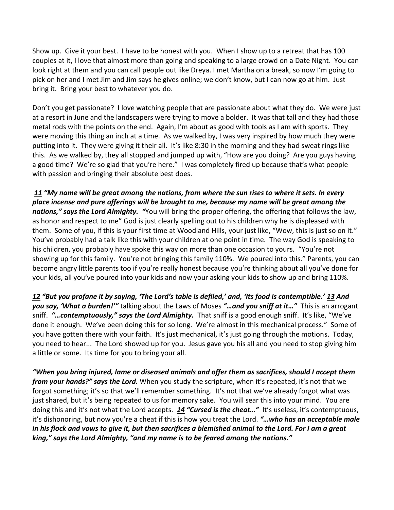Show up. Give it your best. I have to be honest with you. When I show up to a retreat that has 100 couples at it, I love that almost more than going and speaking to a large crowd on a Date Night. You can look right at them and you can call people out like Dreya. I met Martha on a break, so now I'm going to pick on her and I met Jim and Jim says he gives online; we don't know, but I can now go at him. Just bring it. Bring your best to whatever you do.

Don't you get passionate? I love watching people that are passionate about what they do. We were just at a resort in June and the landscapers were trying to move a bolder. It was that tall and they had those metal rods with the points on the end. Again, I'm about as good with tools as I am with sports. They were moving this thing an inch at a time. As we walked by, I was very inspired by how much they were putting into it. They were giving it their all. It's like 8:30 in the morning and they had sweat rings like this. As we walked by, they all stopped and jumped up with, "How are you doing? Are you guys having a good time? We're so glad that you're here." I was completely fired up because that's what people with passion and bringing their absolute best does.

*[11](https://www.studylight.org/desk/?q=mal%201:11&t1=en_niv&sr=1) "My name will be great among the nations, from where the sun rises to where it sets. In every place incense and pure offerings will be brought to me, because my name will be great among the nations," says the Lord Almighty. "*You will bring the proper offering, the offering that follows the law, as honor and respect to me" God is just clearly spelling out to his children why he is displeased with them. Some of you, if this is your first time at Woodland Hills, your just like, "Wow, this is just so on it." You've probably had a talk like this with your children at one point in time. The way God is speaking to his children, you probably have spoke this way on more than one occasion to yours. "You're not showing up for this family. You're not bringing this family 110%. We poured into this." Parents, you can become angry little parents too if you're really honest because you're thinking about all you've done for your kids, all you've poured into your kids and now your asking your kids to show up and bring 110%.

*[12](https://www.studylight.org/desk/?q=mal%201:12&t1=en_niv&sr=1) "But you profane it by saying, 'The Lord's table is defiled,' and, 'Its food is contemptible.' [13](https://www.studylight.org/desk/?q=mal%201:13&t1=en_niv&sr=1) And you say, 'What a burden!'"* talking about the Laws of Moses *"…and you sniff at it…"* This is an arrogant sniff. *"…contemptuously," says the Lord Almighty.* That sniff is a good enough sniff. It's like, "We've done it enough. We've been doing this for so long. We're almost in this mechanical process." Some of you have gotten there with your faith. It's just mechanical, it's just going through the motions. Today, you need to hear... The Lord showed up for you. Jesus gave you his all and you need to stop giving him a little or some. Its time for you to bring your all.

*"When you bring injured, lame or diseased animals and offer them as sacrifices, should I accept them from your hands?" says the Lord.* When you study the scripture, when it's repeated, it's not that we forgot something; it's so that we'll remember something. It's not that we've already forgot what was just shared, but it's being repeated to us for memory sake. You will sear this into your mind. You are doing this and it's not what the Lord accepts. *[14](https://www.studylight.org/desk/?q=mal%201:14&t1=en_niv&sr=1) "Cursed is the cheat…"* It's useless, it's contemptuous, it's dishonoring, but now you're a cheat if this is how you treat the Lord. *"…who has an acceptable male in his flock and vows to give it, but then sacrifices a blemished animal to the Lord. For I am a great king," says the Lord Almighty, "and my name is to be feared among the nations."*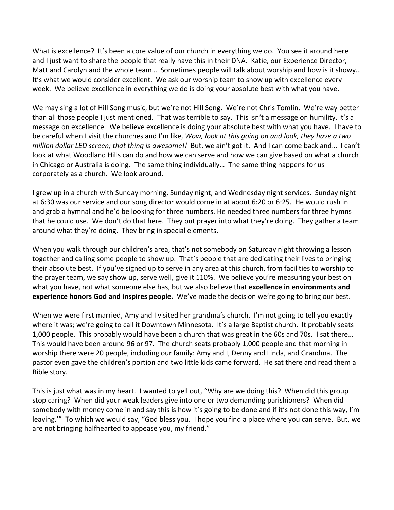What is excellence? It's been a core value of our church in everything we do. You see it around here and I just want to share the people that really have this in their DNA. Katie, our Experience Director, Matt and Carolyn and the whole team… Sometimes people will talk about worship and how is it showy… It's what we would consider excellent. We ask our worship team to show up with excellence every week. We believe excellence in everything we do is doing your absolute best with what you have.

We may sing a lot of Hill Song music, but we're not Hill Song. We're not Chris Tomlin. We're way better than all those people I just mentioned. That was terrible to say. This isn't a message on humility, it's a message on excellence. We believe excellence is doing your absolute best with what you have. I have to be careful when I visit the churches and I'm like, *Wow, look at this going on and look, they have a two million dollar LED screen; that thing is awesome!!* But, we ain't got it. And I can come back and… I can't look at what Woodland Hills can do and how we can serve and how we can give based on what a church in Chicago or Australia is doing. The same thing individually… The same thing happens for us corporately as a church. We look around.

I grew up in a church with Sunday morning, Sunday night, and Wednesday night services. Sunday night at 6:30 was our service and our song director would come in at about 6:20 or 6:25. He would rush in and grab a hymnal and he'd be looking for three numbers. He needed three numbers for three hymns that he could use. We don't do that here. They put prayer into what they're doing. They gather a team around what they're doing. They bring in special elements.

When you walk through our children's area, that's not somebody on Saturday night throwing a lesson together and calling some people to show up. That's people that are dedicating their lives to bringing their absolute best. If you've signed up to serve in any area at this church, from facilities to worship to the prayer team, we say show up, serve well, give it 110%. We believe you're measuring your best on what you have, not what someone else has, but we also believe that **excellence in environments and experience honors God and inspires people.** We've made the decision we're going to bring our best.

When we were first married, Amy and I visited her grandma's church. I'm not going to tell you exactly where it was; we're going to call it Downtown Minnesota. It's a large Baptist church. It probably seats 1,000 people. This probably would have been a church that was great in the 60s and 70s. I sat there… This would have been around 96 or 97. The church seats probably 1,000 people and that morning in worship there were 20 people, including our family: Amy and I, Denny and Linda, and Grandma. The pastor even gave the children's portion and two little kids came forward. He sat there and read them a Bible story.

This is just what was in my heart. I wanted to yell out, "Why are we doing this? When did this group stop caring? When did your weak leaders give into one or two demanding parishioners? When did somebody with money come in and say this is how it's going to be done and if it's not done this way, I'm leaving.'" To which we would say, "God bless you. I hope you find a place where you can serve. But, we are not bringing halfhearted to appease you, my friend."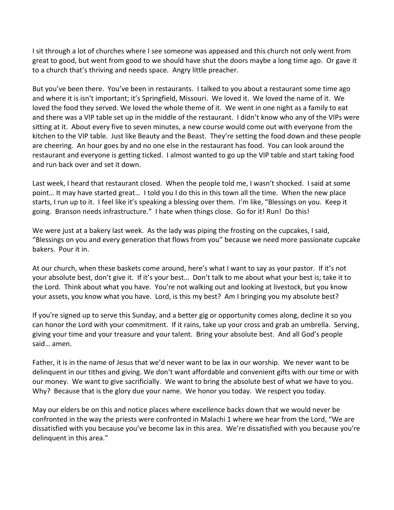I sit through a lot of churches where I see someone was appeased and this church not only went from great to good, but went from good to we should have shut the doors maybe a long time ago. Or gave it to a church that's thriving and needs space. Angry little preacher.

But you've been there. You've been in restaurants. I talked to you about a restaurant some time ago and where it is isn't important; it's Springfield, Missouri. We loved it. We loved the name of it. We loved the food they served. We loved the whole theme of it. We went in one night as a family to eat and there was a VIP table set up in the middle of the restaurant. I didn't know who any of the VIPs were sitting at it. About every five to seven minutes, a new course would come out with everyone from the kitchen to the VIP table. Just like Beauty and the Beast. They're setting the food down and these people are cheering. An hour goes by and no one else in the restaurant has food. You can look around the restaurant and everyone is getting ticked. I almost wanted to go up the VIP table and start taking food and run back over and set it down.

Last week, I heard that restaurant closed. When the people told me, I wasn't shocked. I said at some point… It may have started great… I told you I do this in this town all the time. When the new place starts, I run up to it. I feel like it's speaking a blessing over them. I'm like, "Blessings on you. Keep it going. Branson needs infrastructure." I hate when things close. Go for it! Run! Do this!

We were just at a bakery last week. As the lady was piping the frosting on the cupcakes, I said, "Blessings on you and every generation that flows from you" because we need more passionate cupcake bakers. Pour it in.

At our church, when these baskets come around, here's what I want to say as your pastor. If it's not your absolute best, don't give it. If it's your best… Don't talk to me about what your best is; take it to the Lord. Think about what you have. You're not walking out and looking at livestock, but you know your assets, you know what you have. Lord, is this my best? Am I bringing you my absolute best?

If you're signed up to serve this Sunday, and a better gig or opportunity comes along, decline it so you can honor the Lord with your commitment. If it rains, take up your cross and grab an umbrella. Serving, giving your time and your treasure and your talent. Bring your absolute best. And all God's people said… amen.

Father, it is in the name of Jesus that we'd never want to be lax in our worship. We never want to be delinquent in our tithes and giving. We don't want affordable and convenient gifts with our time or with our money. We want to give sacrificially. We want to bring the absolute best of what we have to you. Why? Because that is the glory due your name. We honor you today. We respect you today.

May our elders be on this and notice places where excellence backs down that we would never be confronted in the way the priests were confronted in Malachi 1 where we hear from the Lord, "We are dissatisfied with you because you've become lax in this area. We're dissatisfied with you because you're delinquent in this area."